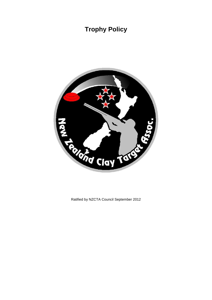# **Trophy Policy**



Ratified by NZCTA Council September 2012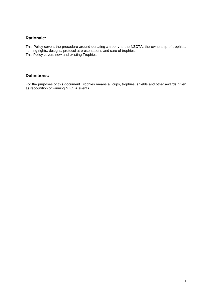## **Rationale:**

This Policy covers the procedure around donating a trophy to the NZCTA, the ownership of trophies, naming rights, designs, protocol at presentations and care of trophies. This Policy covers new and existing Trophies.

### **Definitions:**

For the purposes of this document Trophies means all cups, trophies, shields and other awards given as recognition of winning NZCTA events.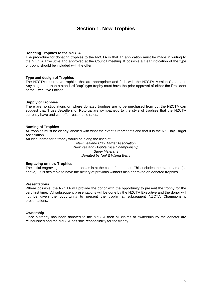## **Section 1: New Trophies**

#### **Donating Trophies to the NZCTA**

The procedure for donating trophies to the NZCTA is that an application must be made in writing to the NZCTA Executive and approved at the Council meeting. If possible a clear indication of the type of trophy should be included with the offer.

#### **Type and design of Trophies**

The NZCTA must have trophies that are appropriate and fit in with the NZCTA Mission Statement. Anything other than a standard "cup" type trophy must have the prior approval of either the President or the Executive Officer.

#### **Supply of Trophies**

There are no stipulations on where donated trophies are to be purchased from but the NZCTA can suggest that Truss Jewellers of Rotorua are sympathetic to the style of trophies that the NZCTA currently have and can offer reasonable rates.

#### **Naming of Trophies**

All trophies must be clearly labelled with what the event it represents and that it is the NZ Clay Target Association.

An ideal name for a trophy would be along the lines of:

*New Zealand Clay Target Association New Zealand Double Rise Championship Super Veterans Donated by Neil & Wilma Berry*

#### **Engraving on new Trophies**

The initial engraving on donated trophies is at the cost of the donor. This includes the event name (as above). It is desirable to have the history of previous winners also engraved on donated trophies.

#### **Presentations**

Where possible, the NZCTA will provide the donor with the opportunity to present the trophy for the very first time. All subsequent presentations will be done by the NZCTA Executive and the donor will not be given the opportunity to present the trophy at subsequent NZCTA Championship presentations.

#### **Ownership**

Once a trophy has been donated to the NZCTA then all claims of ownership by the donator are relinquished and the NZCTA has sole responsibility for the trophy.